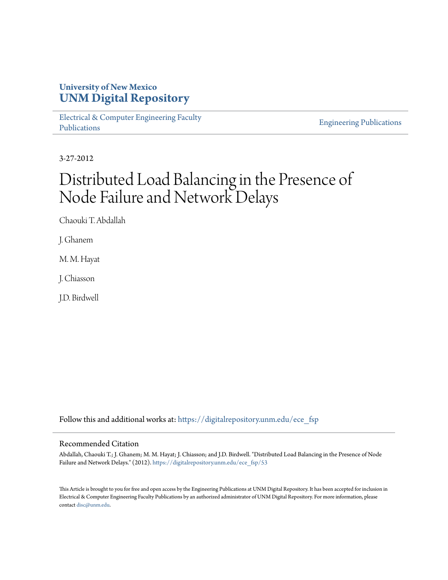# **University of New Mexico [UNM Digital Repository](https://digitalrepository.unm.edu?utm_source=digitalrepository.unm.edu%2Fece_fsp%2F53&utm_medium=PDF&utm_campaign=PDFCoverPages)**

[Electrical & Computer Engineering Faculty](https://digitalrepository.unm.edu/ece_fsp?utm_source=digitalrepository.unm.edu%2Fece_fsp%2F53&utm_medium=PDF&utm_campaign=PDFCoverPages) [Publications](https://digitalrepository.unm.edu/ece_fsp?utm_source=digitalrepository.unm.edu%2Fece_fsp%2F53&utm_medium=PDF&utm_campaign=PDFCoverPages)

[Engineering Publications](https://digitalrepository.unm.edu/eng_fsp?utm_source=digitalrepository.unm.edu%2Fece_fsp%2F53&utm_medium=PDF&utm_campaign=PDFCoverPages)

3-27-2012

# Distributed Load Balancing in the Presence of Node Failure and Network Delays

Chaouki T. Abdallah

J. Ghanem

M. M. Hayat

J. Chiasson

J.D. Birdwell

Follow this and additional works at: [https://digitalrepository.unm.edu/ece\\_fsp](https://digitalrepository.unm.edu/ece_fsp?utm_source=digitalrepository.unm.edu%2Fece_fsp%2F53&utm_medium=PDF&utm_campaign=PDFCoverPages)

# Recommended Citation

Abdallah, Chaouki T.; J. Ghanem; M. M. Hayat; J. Chiasson; and J.D. Birdwell. "Distributed Load Balancing in the Presence of Node Failure and Network Delays." (2012). [https://digitalrepository.unm.edu/ece\\_fsp/53](https://digitalrepository.unm.edu/ece_fsp/53?utm_source=digitalrepository.unm.edu%2Fece_fsp%2F53&utm_medium=PDF&utm_campaign=PDFCoverPages)

This Article is brought to you for free and open access by the Engineering Publications at UNM Digital Repository. It has been accepted for inclusion in Electrical & Computer Engineering Faculty Publications by an authorized administrator of UNM Digital Repository. For more information, please contact [disc@unm.edu.](mailto:disc@unm.edu)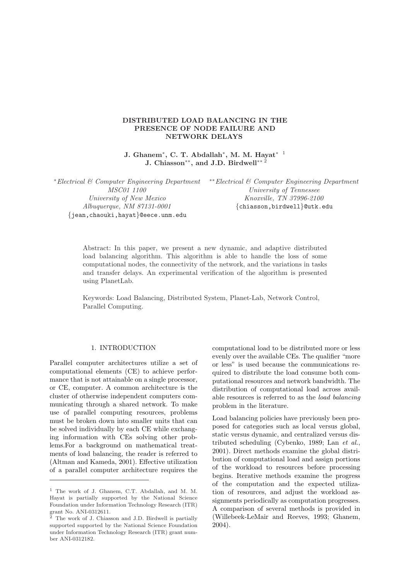# DISTRIBUTED LOAD BALANCING IN THE PRESENCE OF NODE FAILURE AND NETWORK DELAYS

J. Ghanem<sup>∗</sup> , C. T. Abdallah<sup>∗</sup> , M. M. Hayat<sup>∗</sup> <sup>1</sup> J. Chiasson∗∗, and J.D. Birdwell∗∗ <sup>2</sup>

<sup>∗</sup>Electrical & Computer Engineering Department ∗∗Electrical & Computer Engineering Department MSC01 1100 University of Tennessee University of New Mexico Knoxville, TN 37996-2100 Albuquerque, NM 87131-0001 {chiasson,birdwell}@utk.edu {jean,chaouki,hayat}@eece.unm.edu

Abstract: In this paper, we present a new dynamic, and adaptive distributed load balancing algorithm. This algorithm is able to handle the loss of some computational nodes, the connectivity of the network, and the variations in tasks and transfer delays. An experimental verification of the algorithm is presented using PlanetLab.

Keywords: Load Balancing, Distributed System, Planet-Lab, Network Control, Parallel Computing.

#### 1. INTRODUCTION

Parallel computer architectures utilize a set of computational elements (CE) to achieve performance that is not attainable on a single processor, or CE, computer. A common architecture is the cluster of otherwise independent computers communicating through a shared network. To make use of parallel computing resources, problems must be broken down into smaller units that can be solved individually by each CE while exchanging information with CEs solving other problems.For a background on mathematical treatments of load balancing, the reader is referred to (Altman and Kameda, 2001). Effective utilization of a parallel computer architecture requires the computational load to be distributed more or less evenly over the available CEs. The qualifier "more or less" is used because the communications required to distribute the load consume both computational resources and network bandwidth. The distribution of computational load across available resources is referred to as the load balancing problem in the literature.

Load balancing policies have previously been proposed for categories such as local versus global, static versus dynamic, and centralized versus distributed scheduling (Cybenko, 1989; Lan et al., 2001). Direct methods examine the global distribution of computational load and assign portions of the workload to resources before processing begins. Iterative methods examine the progress of the computation and the expected utilization of resources, and adjust the workload assignments periodically as computation progresses. A comparison of several methods is provided in (Willebeek-LeMair and Reeves, 1993; Ghanem, 2004).

<sup>1</sup> The work of J. Ghanem, C.T. Abdallah, and M. M. Hayat is partially supported by the National Science Foundation under Information Technology Research (ITR) grant No. ANI-0312611.

<sup>2</sup> The work of J. Chiasson and J.D. Birdwell is partially supported supported by the National Science Foundation under Information Technology Research (ITR) grant number ANI-0312182.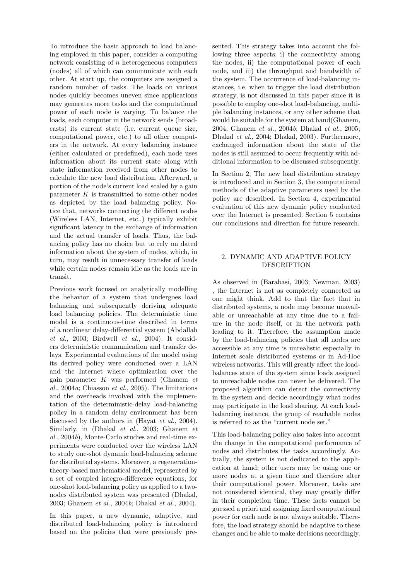To introduce the basic approach to load balancing employed in this paper, consider a computing network consisting of  $n$  heterogeneous computers (nodes) all of which can communicate with each other. At start up, the computers are assigned a random number of tasks. The loads on various nodes quickly becomes uneven since applications may generates more tasks and the computational power of each node is varying. To balance the loads, each computer in the network sends (broadcasts) its current state (i.e. current queue size, computational power, etc.) to all other computers in the network. At every balancing instance (either calculated or predefined), each node uses information about its current state along with state information received from other nodes to calculate the new load distribution. Afterward, a portion of the node's current load scaled by a gain parameter  $K$  is transmitted to some other nodes as depicted by the load balancing policy. Notice that, networks connecting the different nodes (Wireless LAN, Internet, etc..) typically exhibit significant latency in the exchange of information and the actual transfer of loads. Thus, the balancing policy has no choice but to rely on dated information about the system of nodes, which, in turn, may result in unnecessary transfer of loads while certain nodes remain idle as the loads are in transit.

Previous work focused on analytically modelling the behavior of a system that undergoes load balancing and subsequently deriving adequate load balancing policies. The deterministic time model is a continuous-time described in terms of a nonlinear delay-differential system (Abdallah et al., 2003; Birdwell et al., 2004). It considers deterministic communication and transfer delays. Experimental evaluations of the model using its derived policy were conducted over a LAN and the Internet where optimization over the gain parameter K was performed (Ghanem et al., 2004a; Chiasson et al., 2005). The limitations and the overheads involved with the implementation of the deterministic-delay load-balancing policy in a random delay environment has been discussed by the authors in (Hayat *et al.*, 2004). Similarly, in (Dhakal et al., 2003; Ghanem et al., 2004b), Monte-Carlo studies and real-time experiments were conducted over the wireless LAN to study one-shot dynamic load-balancing scheme for distributed systems. Moreover, a regenerationtheory-based mathematical model, represented by a set of coupled integro-difference equations, for one-shot load-balancing policy as applied to a twonodes distributed system was presented (Dhakal, 2003; Ghanem et al., 2004b; Dhakal et al., 2004).

In this paper, a new dynamic, adaptive, and distributed load-balancing policy is introduced based on the policies that were previously presented. This strategy takes into account the following three aspects: i) the connectivity among the nodes, ii) the computational power of each node, and iii) the throughput and bandwidth of the system. The occurrence of load-balancing instances, i.e. when to trigger the load distribution strategy, is not discussed in this paper since it is possible to employ one-shot load-balancing, multiple balancing instances, or any other scheme that would be suitable for the system at hand(Ghanem, 2004; Ghanem et al., 2004b; Dhakal et al., 2005; Dhakal et al., 2004; Dhakal, 2003). Furthermore, exchanged information about the state of the nodes is still assumed to occur frequently with additional information to be discussed subsequently.

In Section 2, The new load distribution strategy is introduced and in Section 3, the computational methods of the adaptive parameters used by the policy are described. In Section 4, experimental evaluation of this new dynamic policy conducted over the Internet is presented. Section 5 contains our conclusions and direction for future research.

## 2. DYNAMIC AND ADAPTIVE POLICY DESCRIPTION

As observed in (Barabasi, 2003; Newman, 2003) , the Internet is not as completely connected as one might think. Add to that the fact that in distributed systems, a node may become unavailable or unreachable at any time due to a failure in the node itself, or in the network path leading to it. Therefore, the assumption made by the load-balancing policies that all nodes are accessible at any time is unrealistic especially in Internet scale distributed systems or in Ad-Hoc wireless networks. This will greatly affect the loadbalances state of the system since loads assigned to unreachable nodes can never be delivered. The proposed algorithm can detect the connectivity in the system and decide accordingly what nodes may participate in the load sharing. At each loadbalancing instance, the group of reachable nodes is referred to as the "current node set."

This load-balancing policy also takes into account the change in the computational performance of nodes and distributes the tasks accordingly. Actually, the system is not dedicated to the application at hand; other users may be using one or more nodes at a given time and therefore alter their computational power. Moreover, tasks are not considered identical, they may greatly differ in their completion time. These facts cannot be guessed a priori and assigning fixed computational power for each node is not always suitable. Therefore, the load strategy should be adaptive to these changes and be able to make decisions accordingly.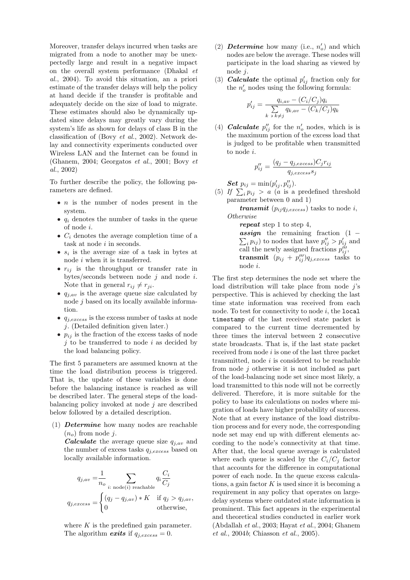Moreover, transfer delays incurred when tasks are migrated from a node to another may be unexpectedly large and result in a negative impact on the overall system performance (Dhakal et al., 2004). To avoid this situation, an a priori estimate of the transfer delays will help the policy at hand decide if the transfer is profitable and adequately decide on the size of load to migrate. These estimates should also be dynamically updated since delays may greatly vary during the system's life as shown for delays of class B in the classification of (Bovy et al., 2002). Network delay and connectivity experiments conducted over Wireless LAN and the Internet can be found in (Ghanem, 2004; Georgatos et al., 2001; Bovy et al., 2002)

To further describe the policy, the following parameters are defined.

- $n$  is the number of nodes present in the system.
- $q_i$  denotes the number of tasks in the queue of node i.
- $C_i$  denotes the average completion time of a task at node i in seconds.
- $s_i$  is the average size of a task in bytes at node  $i$  when it is transferred.
- $r_{ij}$  is the throughput or transfer rate in bytes/seconds between node  $j$  and node  $i$ . Note that in general  $r_{ij} \neq r_{ji}$ .
- $q_{i,av}$  is the average queue size calculated by node j based on its locally available information.
- $q_{i,excess}$  is the excess number of tasks at node j. (Detailed definition given later.)
- $p_{ij}$  is the fraction of the excess tasks of node  $j$  to be transferred to node  $i$  as decided by the load balancing policy.

The first 5 parameters are assumed known at the time the load distribution process is triggered. That is, the update of these variables is done before the balancing instance is reached as will be described later. The general steps of the loadbalancing policy invoked at node  $i$  are described below followed by a detailed description.

(1) Determine how many nodes are reachable  $(n_o)$  from node *j*.

**Calculate** the average queue size  $q_{i,av}$  and the number of excess tasks  $q_{i,excess}$  based on locally available information.

$$
q_{j,av} = \frac{1}{n_o} \sum_{i: \text{ node}(i) \text{ reachable}} q_i \frac{C_i}{C_j}
$$

$$
q_{j,excess} = \begin{cases} (q_j - q_{j,av}) * K & \text{if } q_j > q_{j,av}, \\ 0 & \text{otherwise}, \end{cases}
$$

where  $K$  is the predefined gain parameter. The algorithm *exits* if  $q_{j,excess} = 0$ .

- (2) **Determine** how many (i.e.,  $n'_o$ ) and which nodes are below the average. These nodes will participate in the load sharing as viewed by node j.
- (3) **Calculate** the optimal  $p'_{ij}$  fraction only for the  $n'_o$  nodes using the following formula:

$$
p'_{ij} = \frac{q_{i,av} - (C_i/C_j)q_i}{\sum_{k \ s \ k \neq j} q_{k,av} - (C_k/C_j)q_k}
$$

(4) **Calculate**  $p''_{ij}$  for the  $n'_o$  nodes, which is is the maximum portion of the excess load that is judged to be profitable when transmitted to node i.

$$
p''_{ij} = \frac{(q_j - q_{j,excess})C_j r_{ij}}{q_{j,excess}s_j}
$$

**Set**  $p_{ij} = \min(p'_{ij}, p''_{ij}).$ 

**Set**  $p_{ij} = \min(p_{ij}, p_{ij})$ .<br>
(5) If  $\sum_i p_{ij} > a$  (*a* is a predefined threshold parameter between 0 and 1)

**transmit**  $(p_{ij}q_{j,excess})$  tasks to node i, Otherwise

repeat step 1 to step 4,

assign the remaining fraction (1 −  $\stackrel{us}{\leftarrow}$  $i$   $p_{ij}$ ) to nodes that have  $p''_{ij} > p'_{ij}$  and call the newly assigned fractions  $p_{ij}^{j'}$ , transmit  $(p_{ij} + p_{ij}^{\prime\prime\prime})q_{j,excess}$  tasks to node i.

The first step determines the node set where the load distribution will take place from node  $i$ 's perspective. This is achieved by checking the last time state information was received from each node. To test for connectivity to node  $i$ , the local timestamp of the last received state packet is compared to the current time decremented by three times the interval between 2 consecutive state broadcasts. That is, if the last state packet received from node  $i$  is one of the last three packet transmitted, node  $i$  is considered to be reachable from node  $j$  otherwise it is not included as part of the load-balancing node set since most likely, a load transmitted to this node will not be correctly delivered. Therefore, it is more suitable for the policy to base its calculations on nodes where migration of loads have higher probability of success. Note that at every instance of the load distribution process and for every node, the corresponding node set may end up with different elements according to the node's connectivity at that time. After that, the local queue average is calculated where each queue is scaled by the  $C_i/C_j$  factor that accounts for the difference in computational power of each node. In the queue excess calculations, a gain factor  $K$  is used since it is becoming a requirement in any policy that operates on largedelay systems where outdated state information is prominent. This fact appears in the experimental and theoretical studies conducted in earlier work (Abdallah et al., 2003; Hayat et al., 2004; Ghanem et al., 2004b; Chiasson et al., 2005).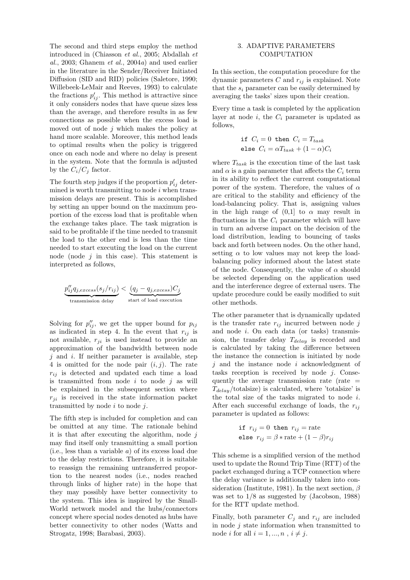The second and third steps employ the method introduced in (Chiasson et al., 2005; Abdallah et  $al., 2003;$  Ghanem  $et al., 2004a)$  and used earlier in the literature in the Sender/Receiver Initiated Diffusion (SID and RID) policies (Saletore, 1990; Willebeek-LeMair and Reeves, 1993) to calculate the fractions  $p'_{ij}$ . This method is attractive since it only considers nodes that have queue sizes less than the average, and therefore results in as few connections as possible when the excess load is moved out of node  $j$  which makes the policy at hand more scalable. Moreover, this method leads to optimal results when the policy is triggered once on each node and where no delay is present in the system. Note that the formula is adjusted by the  $C_i/C_j$  factor.

The fourth step judges if the proportion  $p'_{ij}$  determined is worth transmitting to node  $i$  when transmission delays are present. This is accomplished by setting an upper bound on the maximum proportion of the excess load that is profitable when the exchange takes place. The task migration is said to be profitable if the time needed to transmit the load to the other end is less than the time needed to start executing the load on the current node (node  $i$  in this case). This statement is interpreted as follows,

$$
\underbrace{p_{ij}''q_{j,excess}(s_j/r_{ij})}_{\text{transmission delay}} < \underbrace{(q_j-q_{j,excess})C_j}_{\text{start of load execution}}
$$

Solving for  $p''_{ij}$ , we get the upper bound for  $p_{ij}$ as indicated in step 4. In the event that  $r_{ij}$  is not available,  $r_{ii}$  is used instead to provide an approximation of the bandwidth between node  $j$  and  $i$ . If neither parameter is available, step 4 is omitted for the node pair  $(i, j)$ . The rate  $r_{ij}$  is detected and updated each time a load is transmitted from node  $i$  to node  $j$  as will be explained in the subsequent section where  $r_{ii}$  is received in the state information packet transmitted by node  $i$  to node  $j$ .

The fifth step is included for completion and can be omitted at any time. The rationale behind it is that after executing the algorithm, node  $i$ may find itself only transmitting a small portion (i.e., less than a variable a) of its excess load due to the delay restrictions. Therefore, it is suitable to reassign the remaining untransferred proportion to the nearest nodes (i.e., nodes reached through links of higher rate) in the hope that they may possibly have better connectivity to the system. This idea is inspired by the Small-World network model and the hubs/connectors concept where special nodes denoted as hubs have better connectivity to other nodes (Watts and Strogatz, 1998; Barabasi, 2003).

## 3. ADAPTIVE PARAMETERS COMPUTATION

In this section, the computation procedure for the dynamic parameters  $C$  and  $r_{ij}$  is explained. Note that the  $s_i$  parameter can be easily determined by averaging the tasks' sizes upon their creation.

Every time a task is completed by the application layer at node  $i$ , the  $C_i$  parameter is updated as follows,

if 
$$
C_i = 0
$$
 then  $C_i = T_{task}$   
else  $C_i = \alpha T_{task} + (1 - \alpha)C_i$ 

where  $T_{task}$  is the execution time of the last task and  $\alpha$  is a gain parameter that affects the  $C_i$  term in its ability to reflect the current computational power of the system. Therefore, the values of  $\alpha$ are critical to the stability and efficiency of the load-balancing policy. That is, assigning values in the high range of  $(0,1]$  to  $\alpha$  may result in fluctuations in the  $C_i$  parameter which will have in turn an adverse impact on the decision of the load distribution, leading to bouncing of tasks back and forth between nodes. On the other hand, setting  $\alpha$  to low values may not keep the loadbalancing policy informed about the latest state of the node. Consequently, the value of  $\alpha$  should be selected depending on the application used and the interference degree of external users. The update procedure could be easily modified to suit other methods.

The other parameter that is dynamically updated is the transfer rate  $r_{ij}$  incurred between node j and node i. On each data (or tasks) transmission, the transfer delay  $T_{delay}$  is recorded and is calculated by taking the difference between the instance the connection is initiated by node  $j$  and the instance node  $i$  acknowledgment of tasks reception is received by node  $j$ . Consequently the average transmission rate (rate =  $T_{delay}/\text{totalsize}$ ) is calculated, where 'totalsize' is the total size of the tasks migrated to node i. After each successful exchange of loads, the  $r_{ii}$ parameter is updated as follows:

if 
$$
r_{ij} = 0
$$
 then  $r_{ij} =$ rate  
else  $r_{ij} = \beta *$  rate +  $(1 - \beta)r_{ij}$ 

This scheme is a simplified version of the method used to update the Round Trip Time (RTT) of the packet exchanged during a TCP connection where the delay variance is additionally taken into consideration (Institute, 1981). In the next section,  $\beta$ was set to 1/8 as suggested by (Jacobson, 1988) for the RTT update method.

Finally, both parameter  $C_i$  and  $r_{ij}$  are included in node  $j$  state information when transmitted to node i for all  $i = 1, ..., n$ ,  $i \neq j$ .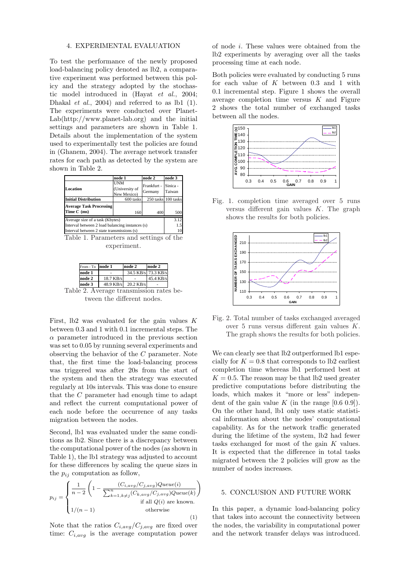#### 4. EXPERIMENTAL EVALUATION

To test the performance of the newly proposed load-balancing policy denoted as lb2, a comparative experiment was performed between this policy and the strategy adopted by the stochastic model introduced in (Hayat et al., 2004; Dhakal *et al.*, 2004) and referred to as  $Ib1$  (1). The experiments were conducted over Planet-Lab(http://www.planet-lab.org) and the initial settings and parameters are shown in Table 1. Details about the implementation of the system used to experimentally test the policies are found in (Ghanem, 2004). The average network transfer rates for each path as detected by the system are shown in Table 2.

|                                                 | node 1                                      | node 2                 | node 3             |
|-------------------------------------------------|---------------------------------------------|------------------------|--------------------|
| Location                                        | <b>UNM</b><br>(University of<br>New Mexico) | Frankfurt -<br>Germany | Sinica -<br>Taiwan |
| <b>Initial Distribution</b>                     | 600 tasks                                   | 250 tasks 100 tasks    |                    |
| <b>Average Task Processing</b><br>Time $C$ (ms) |                                             |                        |                    |
|                                                 | 160                                         | 400                    | 500                |
| Average size of a task (Kbytes)                 | 3.12                                        |                        |                    |
| Interval between 2 load balancing instances (s) | 1.5                                         |                        |                    |
| Interval between 2 state transmissions (s)      |                                             |                        |                    |

Table 1. Parameters and settings of the experiment.

| 34.5 KB/s 73.3 KB/s<br>node 1<br>18.7 KB/s<br>node 2<br>45.4 KB/s<br>48.9 KB/s 20.2 KB/s | From - To node 1 | node 2 | Inode 2 |
|------------------------------------------------------------------------------------------|------------------|--------|---------|
|                                                                                          |                  |        |         |
|                                                                                          |                  |        |         |
|                                                                                          | node 3           |        |         |

tween the different nodes.

First,  $\Box$  was evaluated for the gain values K between 0.3 and 1 with 0.1 incremental steps. The  $\alpha$  parameter introduced in the previous section was set to 0.05 by running several experiments and observing the behavior of the C parameter. Note that, the first time the load-balancing process was triggered was after 20s from the start of the system and then the strategy was executed regularly at 10s intervals. This was done to ensure that the C parameter had enough time to adapt and reflect the current computational power of each node before the occurrence of any tasks migration between the nodes.

Second, lb1 was evaluated under the same conditions as lb2. Since there is a discrepancy between the computational power of the nodes (as shown in Table 1), the lb1 strategy was adjusted to account for these differences by scaling the queue sizes in the  $p_{ij}$  computation as follow,

$$
p_{ij} = \begin{cases} \frac{1}{n-2} \left( 1 - \frac{(C_{i,avg}/C_{j,avg})Queue(i)}{\sum_{k=1, k \neq j}^{n} (C_{k,avg}/C_{j,avg})Queue(k)} \right) \\ \text{if all } Q(i) \text{ are known.} \\ 1/(n-1) \end{cases}
$$

Note that the ratios  $C_{i,avg}/C_{j,avg}$  are fixed over time:  $C_{i,avg}$  is the average computation power of node i. These values were obtained from the lb2 experiments by averaging over all the tasks processing time at each node.

Both policies were evaluated by conducting 5 runs for each value of  $K$  between 0.3 and 1 with 0.1 incremental step. Figure 1 shows the overall average completion time versus  $K$  and Figure 2 shows the total number of exchanged tasks between all the nodes.



Fig. 1. completion time averaged over 5 runs versus different gain values K. The graph shows the results for both policies.



Fig. 2. Total number of tasks exchanged averaged over 5 runs versus different gain values K. The graph shows the results for both policies.

We can clearly see that lb2 outperformed lb1 especially for  $K = 0.8$  that corresponds to lb2 earliest completion time whereas lb1 performed best at  $K = 0.5$ . The reason may be that lb2 used greater predictive computations before distributing the loads, which makes it "more or less" independent of the gain value  $K$  (in the range  $[0.6 0.9]$ ). On the other hand, lb1 only uses static statistical information about the nodes' computational capability. As for the network traffic generated during the lifetime of the system, lb2 had fewer tasks exchanged for most of the gain K values. It is expected that the difference in total tasks migrated between the 2 policies will grow as the number of nodes increases.

#### 5. CONCLUSION AND FUTURE WORK

In this paper, a dynamic load-balancing policy that takes into account the connectivity between the nodes, the variability in computational power and the network transfer delays was introduced.